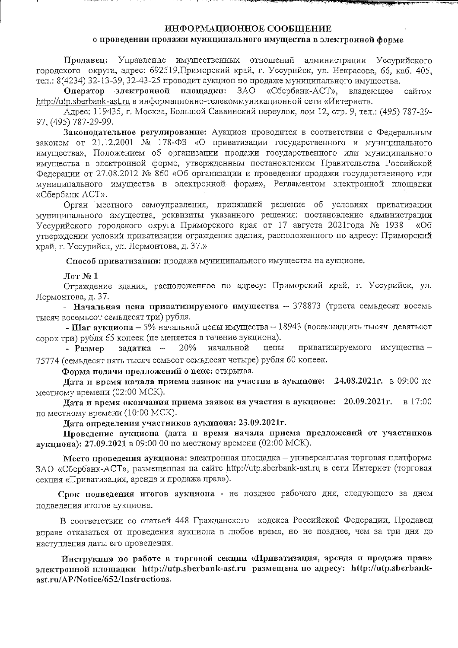## ИНФОРМАЦИОННОЕ СООБЩЕНИЕ

### о проведении продажи муниципального имущества в электронной форме

Продавец: Управление имущественных отношений администрации Уссурийского городского округа, адрес: 692519, Приморский край, г. Уссурийск, ул. Некрасова, 66, каб. 405, тел.: 8(4234) 32-13-39, 32-43-25 проводит аукцион по продаже муниципального имущества.

3AO Оператор электронной плошалки: «Сбербанк-АСТ». владеющее сайтом http://utp.sberbank-ast.ru в информационно-телекоммуникационной сети «Интернет».

Адрес: 119435, г. Москва, Большой Саввинский переулок, дом 12, стр. 9, тел.: (495) 787-29-97, (495) 787-29-99.

Законолательное регулирование: Аукцион проводится в соответствии с Федеральным законом от 21.12.2001  $\mathbb{N}_{2}$  178-ФЗ «О приватизации государственного и муниципального имущества», Положением об организации продажи государственного или муниципального имущества в электронной форме, утвержденным постановлением Правительства Российской Фелерации от 27.08.2012 № 860 «Об организации и проведении продажи государственного или муниципального имущества в электронной форме», Регламентом электронной площадки «Сбербанк-АСТ».

Орган местного самоуправления, принявший решение об условиях приватизации муниципального имущества, реквизиты указанного решения: постановление администрации Уссурийского городского округа Приморского края от 17 августа 2021 года № 1938 «Об утверждении условий приватизации ограждения здания, расположенного по адресу: Приморский край, г. Уссурийск, ул. Лермонтова, д. 37.»

Способ приватизации: продажа муниципального имущества на аукционе.

 $\operatorname{Mor}$   $\mathbb{N}$ <sup>0</sup> 1

Ограждение здания, расположенное по адресу: Приморский край, г. Уссурийск, ул. Лермонтова, д. 37.

- Начальная цена приватизируемого имущества - 378873 (триста семьдесят восемь тысяч восемьсот семьдесят три) рубля.

- Шаг аукциона - 5% начальной цены имущества - 18943 (восемнадцать тысяч девятьсот сорок три) рубля 65 копеек (не меняется в течение аукциона).

задатка -20% начальной цены приватизируемого имущества -- Размер 75774 (семьдесят пять тысяч семьсот семьдесят четыре) рубля 60 копеек.

Форма подачи предложений о цене: открытая.

Дата и время начала приема заявок на участия в аукционе: 24.08.2021г. в 09:00 по местному времени (02:00 МСК).

Дата и время окончания приема заявок на участия в аукционе: 20.09.2021г. в 17:00 по местному времени (10:00 МСК).

Дата определения участников аукциона: 23.09.2021г.

Проведение аукциона (дата и время начала приема предложений от участников аукциона): 27.09.2021 в 09:00 00 по местному времени (02:00 МСК).

Место проведения аукциона: электронная площадка - универсальная торговая платформа ЗАО «Сбербанк-АСТ», размещенная на сайте http://utp.sberbank-ast.ru в сети Интернет (торговая секция «Приватизация, аренда и продажа прав»).

Срок подведения итогов аукциона - не позднее рабочего дня, следующего за днем подведения итогов аукциона.

В соответствии со статьей 448 Гражданского кодекса Российской Федерации, Продавец вправе отказаться от проведения аукциона в любое время, но не позднее, чем за три дня до наступления даты его проведения.

Инструкция по работе в торговой секции «Приватизация, аренда и продажа прав» электронной площадки http://utp.sberbank-ast.ru размещена по адресу: http://utp.sberbankast.ru/AP/Notice/652/Instructions.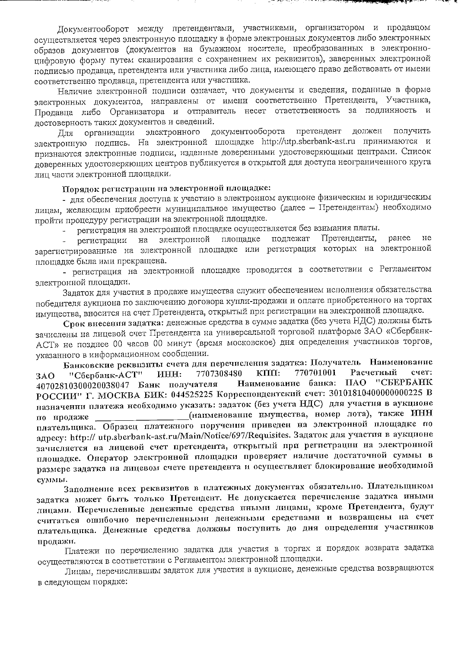Документооборот между претендентами, участниками, организатором и продавцом осуществляется через электронную площадку в форме электронных документов либо электронных образов документов (документов на бумажном носителе, преобразованных в электронноцифровую форму путем сканирования с сохранением их реквизитов), заверенных электронной подписью продавца, претендента или участника либо лица, имеющего право действовать от имени соответственно продавца, претендента или участника.

and the state of the state of the state of the state of the state of the state of the state of the state of the

Наличие электронной подписи означает, что документы и сведения, поданные в форме электронных документов, направлены от имени соответственно Претендента, Участника, Продавца либо Организатора и отправитель несет ответственность за подлинность и достоверность таких документов и сведений.

электронного документооборота претендент должен получить организации Лля электронную подпись. На электронной площадке http://utp.sberbank-ast.ru принимаются и признаются электронные подписи, изданные доверенными удостоверяющими центрами. Список доверенных удостоверяющих центров публикуется в открытой для доступа неограниченного круга лиц части электронной площадки.

## Порядок регистрации на электронной площадке:

- для обеспечения доступа к участию в электронном аукционе физическим и юридическим лицам, желающим приобрести муниципальное имущество (далее - Претендентам) необходимо пройти процедуру регистрации на электронной площадке.

регистрация на электронной площадке осуществляется без взимания платы.

Претенденты, ранее  $He$ площадке подлежат  $_{\rm H2}$ электронной регистрации зарегистрированные на электронной площадке или регистрация которых на электронной площадке была ими прекращена.

- регистрация на электронной площадке проводится в соответствии с Регламентом электронной площадки.

Задаток для участия в продаже имущества служит обеспечением исполнения обязательства победителя аукциона по заключению договора купли-продажи и оплате приобретенного на торгах имущества, вносится на счет Претендента, открытый при регистрации на электронной площадке.

Срок внесения задатка: денежные средства в сумме задатка (без учета НДС) должны быть зачислены на лицевой счет Претендента на универсальной торговой платформе ЗАО «Сбербанк-АСТ» не позднее 00 часов 00 минут (время московское) дня определения участников торгов, указанного в информационном сообщении.

Банковские реквизиты счета для перечисления задатка: Получатель Наименование 770701001 Расчетный счет: 7707308480 KIIII: HHH: "Сбербанк-АСТ" **3AO** Наименование банка: ПАО "СБЕРБАНК 40702810300020038047 Банк получателя РОССИИ" Г. МОСКВА БИК: 044525225 Корреспондентский счет: 30101810400000000225 В назначении платежа необходимо указать: задаток (без учета НДС) для участия в аукционе (наименование имущества, номер лота), также ИНН по продаже плательщика. Образец платежного поручения приведен на электронной площадке по agpecy: http:// utp.sberbank-ast.ru/Main/Notice/697/Requisites. Задаток для участия в аукционе зачисляется на лицевой счет претендента, открытый при регистрации на электронной площадке. Оператор электронной площадки проверяет наличие достаточной суммы в размере задатка на лицевом счете претендента и осуществляет блокирование необходимой суммы.

Заполнение всех реквизитов в платежных документах обязательно. Плательщиком задатка может быть только Претендент. Не допускается перечисление задатка иными лицами. Перечисленные денежные средства иными лицами, кроме Претендента, будут считаться ошибочно перечисленными денежными средствами и возвращены на счет плательщика. Денежные средства должны поступить до дня определения участников продажи.

Платежи по перечислению задатка для участия в торгах и порядок возврата задатка осуществляются в соответствии с Регламентом электронной площадки.

Лицам, перечислившим задаток для участия в аукционе, денежные средства возвращаются в следующем порядке: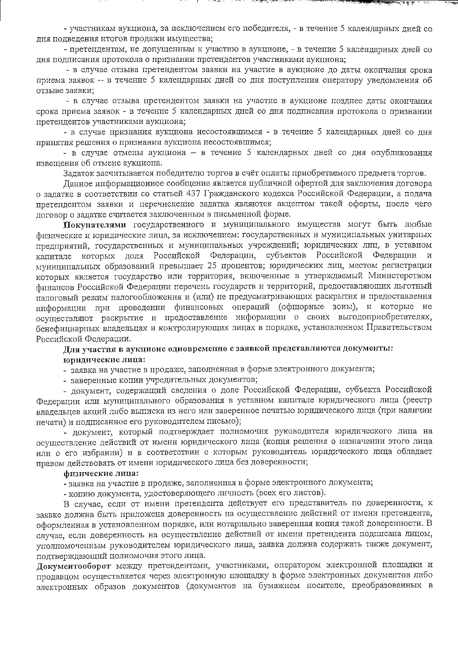- участникам аукциона, за исключением его победителя, - в течение 5 календарных дней со дня подведения итогов продажи имущества;

**CALL AND CALL AND CARDS IN A** 

- претендентам, не допущенным к участию в аукционе, - в течение 5 календарных дней со дня подписания протокола о признании претендентов участниками аукциона;

- в случае отзыва претендентом заявки на участие в аукционе до даты окончания срока приема заявок - в течение 5 календарных дней со дня поступления оператору уведомления об отзыве заявки;

- в случае отзыва претендентом заявки на участие в аукционе позднее даты окончания срока приема заявок - в течение 5 календарных дней со дня подписания протокола о признании претендентов участниками аукциона;

- в случае признания аукциона несостоявшимся - в течение 5 календарных дней со дня принятия решения о признании аукциона несостоявшимся;

- в случае отмены аукциона - в течение 5 календарных дней со дня опубликования извещения об отмене аукциона.

Задаток засчитывается победителю торгов в счёт оплаты приобретаемого предмета торгов.

Ланное информационное сообщение является публичной офертой для заключения договора о задатке в соответствии со статьей 437 Гражданского кодекса Российской Федерации, а подача претендентом заявки и перечисление задатка являются акцептом такой оферты, после чего договор о задатке считается заключенным в письменной форме.

Покупателями государственного и муниципального имущества могут быть любые физические и юридические лица, за исключением: государственных и муниципальных унитарных предприятий, государственных и муниципальных учреждений; юридических лиц, в уставном капитале которых доля Российской Федерации, субъектов Российской Федерации и муниципальных образований превышает 25 процентов; юридических лиц, местом регистрации которых является государство или территория, включенные в утверждаемый Министерством финансов Российской Федерации перечень государств и территорий, предоставляющих льготный налоговый режим налогообложения и (или) не предусматривающих раскрытия и предоставления информации при проведении финансовых операций (офшорные зоны), и которые не осуществляют раскрытие и предоставление информации о своих выгодоприобретателях, бенефициарных владельцах и контролирующих лицах в порядке, установленном Правительством Российской Федерации.

# Для участия в аукционе одновременно с заявкой представляются документы: юридические лица:

- заявка на участие в продаже, заполненная в форме электронного документа;

- заверенные копии учредительных документов;

- документ, содержащий сведения о доле Российской Федерации, субъекта Российской Федерации или муниципального образования в уставном капитале юридического лица (реестр владельцев акций либо выписка из него или заверенное печатью юридического лица (при наличии печати) и подписанное его руководителем письмо);

- локумент, который подтверждает полномочия руководителя юридического лица на осуществление действий от имени юридического лица (копия решения о назначении этого лица или о его избрании) и в соответствии с которым руководитель юридического лица обладает правом действовать от имени юридического лица без доверенности;

#### физические лица:

- заявка на участие в продаже, заполненная в форме электронного документа;

- копию документа, удостоверяющего личность (всех его листов).

В случае, если от имени претендента действует его представитель по доверенности, к заявке должна быть приложена доверенность на осуществление действий от имени претендента, оформленная в установленном порядке, или нотариально заверенная копия такой доверенности. В случае, если доверенность на осуществление действий от имени претендента подписана лицом, уполномоченным руководителем юридического лица, заявка должна содержать также документ, подтверждающий полномочия этого лица.

Документооборот между претендентами, участниками, оператором электронной площадки и продавцом осуществляется через электронную площадку в форме электронных документов либо электронных образов документов (документов на бумажном носителе, преобразованных в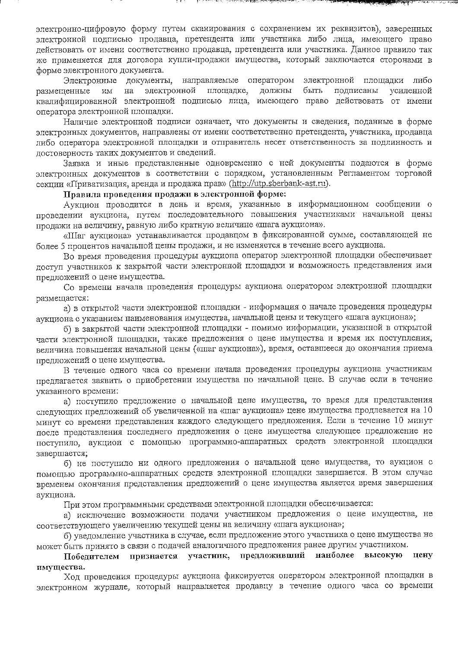электронно-цифровую форму путем сканирования с сохранением их реквизитов), заверенных электронной подписью продавца, претендента или участника либо лица, имеющего право лействовать от имени соответственно продавца, претендента или участника. Данное правило так же применяется для договора купли-продажи имущества, который заключается сторонами в форме электронного документа.

್ಯಾಲ್ ಎಂದು ಪ್ರಾಂತಿ ಎಂದು ಕಾರ್ಯಕ್ರಮಿಸಿದ್ದಾರೆ. ಆದರೆ ಮೊದಲಿ ಕಾರ್ಯಕ್ರಮ ಮಾಡಿದರು ಅವರ ಸಂಪರ್ಕಿಸಿದ್ದಾರೆ. ಇದರ ಮಾಡಿದರು ಮಾಡಿ

документы, направляемые оператором электронной площадки либо Электронные размещенные электронной быть ИM на площадке. должны подписаны усиленной квалифицированной электронной подписью лица, имеющего право действовать от имени оператора электронной площадки.

Наличие электронной подписи означает, что документы и сведения, поданные в форме электронных документов, направлены от имени соответственно претендента, участника, продавца либо оператора электронной площадки и отправитель несет ответственность за подлинность и достоверность таких документов и сведений.

Заявка и иные представленные одновременно с ней документы подаются в форме электронных документов в соответствии с порядком, установленным Регламентом торговой секции «Приватизация, аренда и продажа прав» (http://utp.sberbank-ast.ru).

#### Правила проведения продажи в электронной форме:

Аукцион проводится в день и время, указанные в информационном сообщении о проведении аукциона, путем последовательного повышения участниками начальной цены продажи на величину, равную либо кратную величине «шага аукциона».

«Шаг аукциона» устанавливается продавцом в фиксированной сумме, составляющей не более 5 процентов начальной цены продажи, и не изменяется в течение всего аукциона.

Во время проведения процедуры аукциона оператор электронной площадки обеспечивает доступ участников к закрытой части электронной площадки и возможность представления ими предложений о цене имущества.

Со времени начала проведения процедуры аукциона оператором электронной площадки размещается:

а) в открытой части электронной площадки - информация о начале проведения процедуры аукциона с указанием наименования имущества, начальной цены и текущего «шага аукциона»;

б) в закрытой части электронной площадки - помимо информации, указанной в открытой части электронной площадки, также предложения о цене имущества и время их поступления, величина повышения начальной цены («шаг аукциона»), время, оставшееся до окончания приема предложений о цене имущества.

В течение одного часа со времени начала проведения процедуры аукциона участникам предлагается заявить о приобретении имущества по начальной цене. В случае если в течение указанного времени:

а) поступило предложение о начальной цене имущества, то время для представления следующих предложений об увеличенной на «шаг аукциона» цене имущества продлевается на 10 минут со времени представления каждого следующего предложения. Если в течение 10 минут после представления последнего предложения о цене имущества следующее предложение не поступило, аукцион с помощью программно-аппаратных средств электронной площадки завершается;

б) не поступило ни одного предложения о начальной цене имущества, то аукцион с помощью программно-аппаратных средств электронной площадки завершается. В этом случае временем окончания представления предложений о цене имущества является время завершения аукциона.

При этом программными средствами электронной площадки обеспечивается:

а) исключение возможности подачи участником предложения о цене имущества, не соответствующего увеличению текущей цены на величину «шага аукциона»;

б) уведомление участника в случае, если предложение этого участника о цене имущества не может быть принято в связи с подачей аналогичного предложения ранее другим участником.

участник, предложивший наиболее высокую цену признается Победителем имущества.

Ход проведения процедуры аукциона фиксируется оператором электронной площадки в электронном журнале, который направляется продавцу в течение одного часа со времени